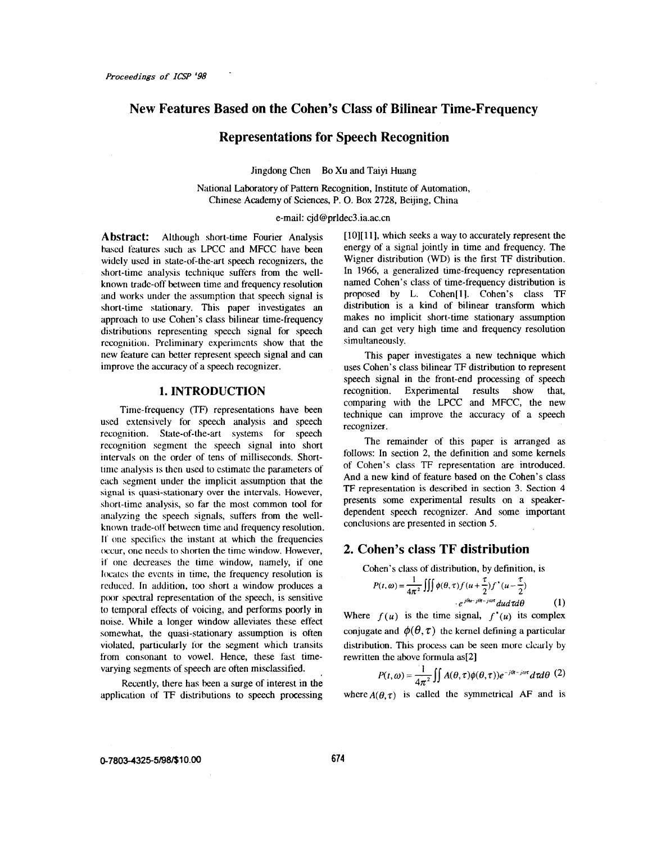# **New Features Based on the Cohen's Class of Bilinear Time-Frequency**

### **Representations for Speech Recognition**

Jingdong Chen Bo Xu and Taiyi Huang

National Laboratory of Pattern Recognition, Institute of Automation, Chinese Academy of Sciences, P. 0. Box **2728,** Beijing, China

#### e-mail: [cjd@prldec3.ia.ac.cn](mailto:cjd@prldec3.ia.ac.cn)

**Abstract:** Although short-time Fourier Analysis based features such as LPCC and MFCC have been widely used in state-of-the-art speech recognizers, the short-time analysis technique suffers from the wellknown trade-off between time and frequency resolution and works under the assumption that speech signal is short-time stationary. This paper investigates an approach to use Cohen's class bilinear time-frequency distributions representing speech signal for speech recognition. Preliminary experiments show that the new feature can better represent speech signal and *can*  improve the accuracy of a speech recognizer.

#### **1. INTRODUCTION**

Time-frequency (TF) representations have been used extensively for speech analysis and speech recognition. State-of-the-art systems for speech recognition segment the speech signal into short intervals on the order of tens of milliseconds. Shorttime analysis is then **used** to estimate the parameters of each segment under the implicit assumption that the signal **is** quasi-stationary over the intervals. However, short-time analysis, so far the most common tool for analyzing the speech signals, suffers from the wellknown trade-off between time and frequency resolution. **<sup>11</sup>'** one specifics the instant at which the frequencies (xcur, one needs to shorten the time window. However, **it'** one decreases the time window, namely, if one **locates** the events in time, the frequency resolution is reduced. In addition, too short a window produces a **poor** spectral representation of the speech, is sensitive to temporal effects of voicing, and performs poorly **in**  noise. While a longer window alleviates these effect somewhat, the quasi-stationary assumption is often violated, particularly **lor** the segment which transits from consonant to vowel. Hence, these fast timevarying segments of speech are often misclassified.

Recently, there has been a surge of interest in the application of TF distributions to speech processing [10][11], which seeks a way to accurately represent the energy of a signal jointly in time and frequency. The Wigner distribution (WD) is the first TF distribution. In 1966, a generalized time-frequency representation named Cohen's class of time-frequency distribution **is**  proposed by L. Cohen[ll. Cohen's class TF distribution is a kind of bilinear transform which makes no implicit short-time stationary assumption and can get very high time and frequency resolution simultaneously.

This paper investigates a new technique which uses Cohen's class bilinear TF distribution to represent speech signal in the front-end processing of **speech**  recognition. Experimental results show that, comparing with the LPCC and MFCC, the new technique can improve the accuracy of a speech recognizer.

The remainder of this paper is arranged **as**  follows: In section 2, the definition and some kernels of Cohen's class TF representation are introduced. And a new kind of feature based on the Cohen's class TF representation is described in section 3. Section 4 presents some experimental results on a speakerdependent speech recognizer. And some important conclusions are presented in section *5.* 

### **2. Cohen's class TF distribution**

Cohen's class of distribution, by definition, is

$$
P(t, \omega) = \frac{1}{4\pi^2} \iiint \phi(\theta, \tau) f(u + \frac{\tau}{2}) f^{\dagger}(u - \frac{\tau}{2})
$$
  
 
$$
e^{j\theta u - j\theta t - j\omega \tau} du d\tau d\theta
$$
 (1)

Where  $f(u)$  is the time signal,  $f'(u)$  its complex conjugate and  $\phi(\theta, \tau)$  the kernel defining a particular distribution. This process can be seen more clearly by rewritten the above formula as[2]

$$
P(t, \omega) = \frac{1}{4\pi^2} \iint A(\theta, \tau) \phi(\theta, \tau) e^{-j\theta - j\omega \tau} d\tau d\theta \tag{2}
$$

where  $A(\theta, \tau)$  is called the symmetrical AF and is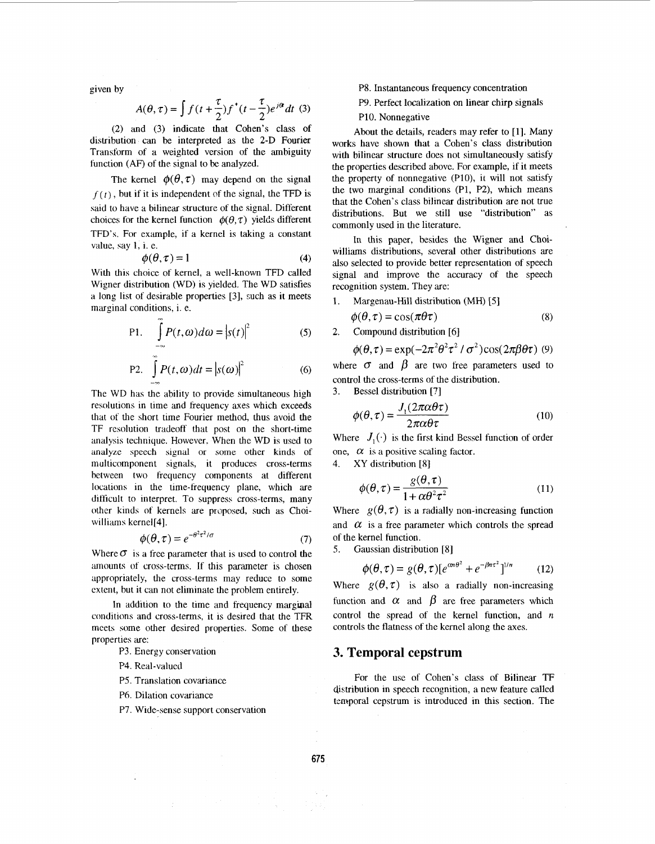given by

$$
A(\theta, \tau) = \int f(t + \frac{\tau}{2}) f^*(t - \frac{\tau}{2}) e^{i\theta} dt
$$
 (3)

*(2)* and *(3)* indicate that Cohen's class of distribution can be interpreted as the **2-D** Fourier Transform of a weighted version of the ambiguity function (AF) of the signal to be analyzed.

The kernel  $\phi(\theta, \tau)$  may depend on the signal  $f(t)$ , but if it is independent of the signal, the TFD is said to have a bilinear structure of the signal. Different choices for the kernel function  $\phi(\theta, \tau)$  yields different TFD's. For example, if a kernel is taking a constant value, say 1, i. e.

$$
\phi(\theta, \tau) = 1 \tag{4}
$$

With this choice of kernel, a well-known TFD called Wigner distribution (WD) is yielded. The WD satisfies a long list of desirable properties *[3],* such as it meets marginal conditions, i. e.

P1. 
$$
\int_{-\infty}^{\infty} P(t, \omega) d\omega = |s(t)|^2
$$
 (5)

P2. 
$$
\int_{-\infty}^{\infty} P(t, \omega) dt = |s(\omega)|^2
$$
 (6)

The WD has the ability to provide simultaneous high resolutions in time and frequency axes which exceeds that of the short time Fourier method, thus avoid the TF resolution tradeoff that post on the short-time analysis technique. However. When the WD is used to analyze speech signal or some other **kinds** of multicomponent signals, it produces cross-terms between two frequency components at different locations in the time-frequency plane, which are difficult to interpret. To suppress cross-terms, many other kinds of kernels are proposed, such as Choiwilliams kernel<sup>[4]</sup>.

$$
\phi(\theta, \tau) = e^{-\theta^2 \tau^2 / \sigma} \tag{7}
$$

Where  $\sigma$  is a free parameter that is used to control the mounts of cross-terms. If this parameter is chosen appropriately, die cross-terms may reduce to some extent, but it can not eliminate the problem entirely.

In addition to the time and frequency marginal conditions and cross-terms, it is desired that the TFR meets some other desired properties. Some of these properties are:

P3. Energy conservation

- P4. Real-valued
- **PS.** Translation covariance

 $\mathcal{L}^{\pm}$ 

- P6. Dilation covariance
- P7. Wide-sense support conservation

P8. Instantaneous frequency concentration

p9. Perfect localization on linear chirp signals

PIO. Nonnegative

About the details, readers may refer to **[l].** Many works have shown that a Cohen's class distribution with bilinear structure does not simultaneously satisfy the properties described above. For example, if it meets the property of nonnegative (PlO), it will not satisfy the two marginal conditions (Pl, **E),** which means that the Cohen's class bilinear distribution are not true distributions. But we still use "distribution" as commonly used in the literature.

In this paper, besides the Wigner and Choiwilliams distributions, several other distributions are also selected to provide better representation of speech signal and improve the accuracy of the speech recognition system. They are:

1. Margenau-Hill distribution (MH) **[5]** 

$$
\phi(\theta, \tau) = \cos(\pi \theta \tau) \tag{8}
$$

*2.* Compound distribution [6]

$$
\phi(\theta, \tau) = \exp(-2\pi^2 \theta^2 \tau^2 / \sigma^2) \cos(2\pi \beta \theta \tau)
$$
 (9)

where  $\sigma$  and  $\beta$  are two free parameters used to control the cross-terms of the distribution.

*3.* Bessel distribution ['?I

$$
\phi(\theta, \tau) = \frac{J_1(2\pi\alpha\theta\tau)}{2\pi\alpha\theta\tau}
$$
\n(10)

Where  $J_1(\cdot)$  is the first kind Bessel function of order one,  $\alpha$  is a positive scaling factor.

4. XY distribution **[8]** 

$$
\phi(\theta, \tau) = \frac{g(\theta, \tau)}{1 + \alpha \theta^2 \tau^2}
$$
\n(11)

Where  $g(\theta, \tau)$  is a radially non-increasing function and  $\alpha$  is a free parameter which controls the spread of the kernel function.

**S.** Gaussian distribution [8]

$$
\phi(\theta, \tau) = g(\theta, \tau) [e^{\alpha n \theta^2} + e^{-\beta n \tau^2}]^{1/n}
$$
 (12)

Where  $g(\theta, \tau)$  is also a radially non-increasing function and  $\alpha$  and  $\beta$  are free parameters which control the spread of the kernel function, and *n*  controls the flatness of the kernel along the axes.

### **3. Temporal cepstrum**

For the use of Cohen's class of Bilinear TF distribution in speech recognition, a new feature called temporal cepstrum is introduced in this section. The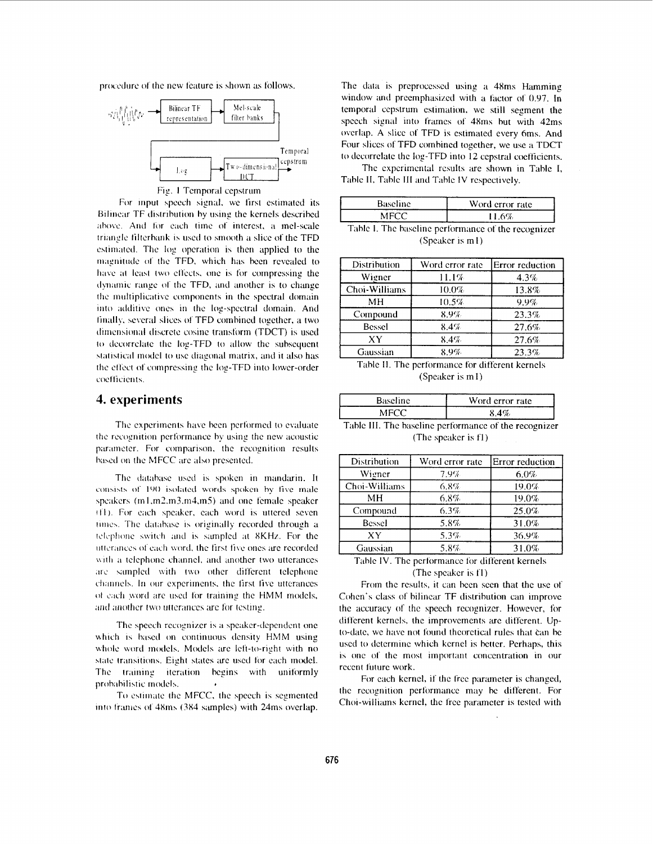procedure of the new feature is shown as follows.



For input speech signal, we first estimated its Bilinear TF distribution by using the kernels described above. And for each time of interest, a mel-scale triangle filterbank is used to smooth a slice of the TFD estimated. The log operation is then applied to the magnitude of the TFD, which has been revealed to have at least two effects, one is for compressing the dynamic range of the TFD, and another is to change the multiplicative components in the spectral domain into additive ones in the log-spectral domain. And finally, several slices of TFD combined together, a two dimensional discrete cosine transform (TDCT) is used to decorrelate the log-TFD to allow the subsequent statistical model to use diagonal matrix, and it also has the effect of compressing the log-TFD into lower-order coefficients.

## 4. experiments

The experiments have been performed to evaluate the recognition performance by using the new acoustic parameter. For comparison, the recognition results based on the MFCC are also presented.

The database used is spoken in mandarin. It consists of 190 isolated words spoken by five male speakers (m1,m2,m3,m4,m5) and one female speaker (f1). For each speaker, each word is uttered seven times. The database is originally recorded through a telephone switch and is sampled at 8KHz. For the utterances of each word, the first five ones are recorded with a telephone channel, and another two utterances are sampled with two other different telephone channels. In our experiments, the first five utterances of each word are used for training the HMM models, and another two utterances are for testing.

The speech recognizer is a speaker-dependent one which is based on continuous density HMM using whole word models. Models are left-to-right with no state transitions. Eight states are used for each model. The training iteration begins with uniformly probabilistic models.

To estimate the MFCC, the speech is segmented into frames of 48ms (384 samples) with 24ms overlap.

The data is preprocessed using a 48ms Hamming window and preemphasized with a factor of 0.97. In temporal cepstrum estimation, we still segment the speech signal into frames of 48ms but with 42ms overlap. A slice of TFD is estimated every 6ms. And Four slices of TFD combined together, we use a TDCT to decorrelate the log-TFD into 12 cepstral coefficients.

The experimental results are shown in Table I, Table II, Table III and Table IV respectively.

| <b>Baseline</b>                                     | Word error rate |  |  |
|-----------------------------------------------------|-----------------|--|--|
| MFCC                                                | 11.6%           |  |  |
| Table I. The baseline performance of the recognizer |                 |  |  |

(Speaker is m1)

| Distribution  | Word error rate | <b>Error</b> reduction |
|---------------|-----------------|------------------------|
| Wigner        | 11.1%           | 4.3%                   |
| Choi-Williams | 10.0%           | 13.8%                  |
| MН            | 10.5%           | 9.9%                   |
| Compound      | 8.9%            | 23.3%                  |
| Bessel        | 8.4%            | 27.6%                  |
| ХY            | 8.4%            | 27.6%                  |
| Gaussian      | 8.9%            | 23.3%                  |

Table II. The performance for different kernels (Speaker is m1)

| <b>Baseline</b>                                       | Word error rate |  |
|-------------------------------------------------------|-----------------|--|
| MFCC.                                                 | 8.4%            |  |
| Table III. The baseline performance of the recognizer |                 |  |

(The speaker is f1)

| Distribution                                    | Word error rate | Error reduction |
|-------------------------------------------------|-----------------|-----------------|
| Wigner                                          | 7.9%            | 6.0%            |
| Choi-Williams                                   | 6.8%            | 19.0%           |
| MН                                              | 6.8%            | 19.0%           |
| Compound                                        | 6.3%            | 25.0%           |
| Bessel                                          | 5.8%            | 31.0%           |
| XY                                              | 5.3%            | 36.9%           |
| Gaussian                                        | 5.8%            | 31.0%           |
| Table IV. The performance for different kernels |                 |                 |

#### (The speaker is f1)

From the results, it can been seen that the use of Cohen's class of bilinear TF distribution can improve the accuracy of the speech recognizer. However, for different kernels, the improvements are different. Upto-date, we have not found theoretical rules that can be used to determine which kernel is better. Perhaps, this is one of the most important concentration in our recent future work.

For each kernel, if the free parameter is changed, the recognition performance may be different. For Choi-williams kernel, the free parameter is tested with